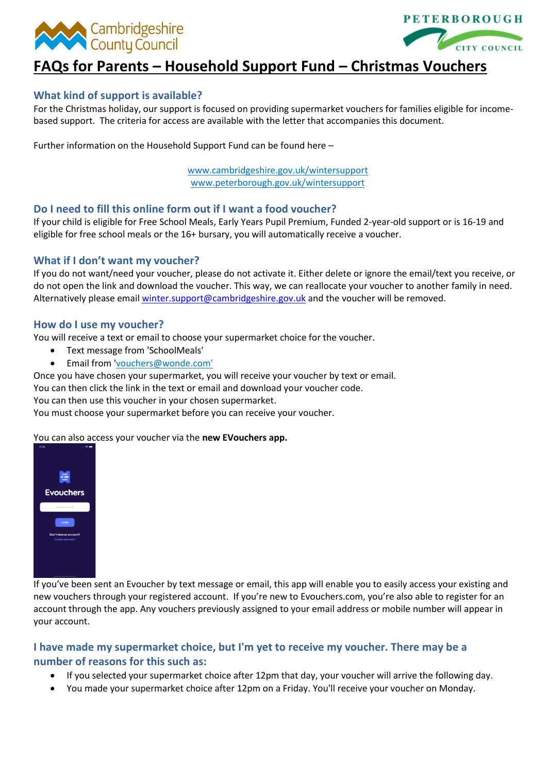



# **FAQs for Parents – Household Support Fund – Christmas Vouchers**

## **What kind of support is available?**

For the Christmas holiday, our support is focused on providing supermarket vouchers for families eligible for incomebased support. The criteria for access are available with the letter that accompanies this document.

Further information on the Household Support Fund can be found here –

[www.cambridgeshire.gov.uk/wintersupport](http://www.cambridgeshire.gov.uk/wintersupport) [www.peterborough.gov.uk/wintersupport](http://www.peterborough.gov.uk/wintersupport)

## **Do I need to fill this online form out if I want a food voucher?**

If your child is eligible for Free School Meals, Early Years Pupil Premium, Funded 2-year-old support or is 16-19 and eligible for free school meals or the 16+ bursary, you will automatically receive a voucher.

## **What if I don't want my voucher?**

If you do not want/need your voucher, please do not activate it. Either delete or ignore the email/text you receive, or do not open the link and download the voucher. This way, we can reallocate your voucher to another family in need. Alternatively please emai[l winter.support@cambridgeshire.gov.uk](mailto:winter.support@cambridgeshire.gov.uk) and the voucher will be removed.

#### **How do I use my voucher?**

You will receive a text or email to choose your supermarket choice for the voucher.

- Text message from 'SchoolMeals'
- Email from ['vouchers@wonde.com'](mailto:vouchers@wonde.com)

Once you have chosen your supermarket, you will receive your voucher by text or email.

You can then click the link in the text or email and download your voucher code.

You can then use this voucher in your chosen supermarket.

You must choose your supermarket before you can receive your voucher.

You can also access your voucher via the **new EVouchers app.**



If you've been sent an Evoucher by text message or email, this app will enable you to easily access your existing and new vouchers through your registered account. If you're new to Evouchers.com, you're also able to register for an account through the app. Any vouchers previously assigned to your email address or mobile number will appear in your account.

# **I have made my supermarket choice, but I'm yet to receive my voucher. There may be a number of reasons for this such as:**

- If you selected your supermarket choice after 12pm that day, your voucher will arrive the following day.
- You made your supermarket choice after 12pm on a Friday. You'll receive your voucher on Monday.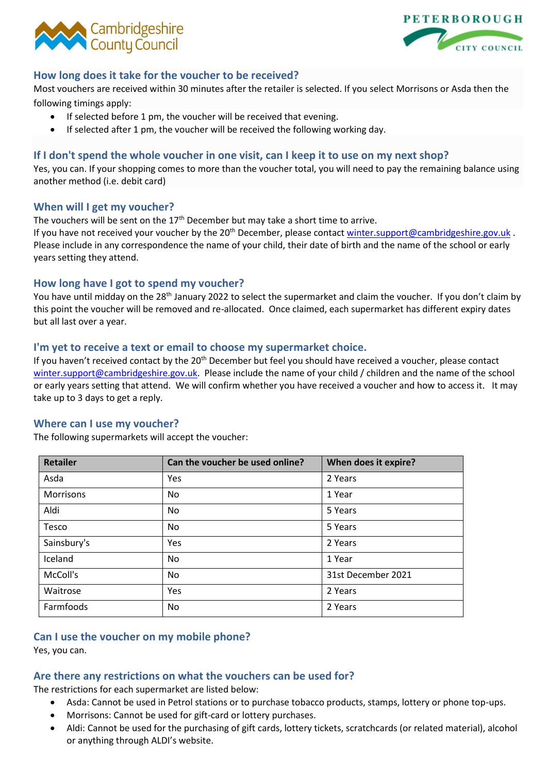



## **How long does it take for the voucher to be received?**

Most vouchers are received within 30 minutes after the retailer is selected. If you select Morrisons or Asda then the following timings apply:

- If selected before 1 pm, the voucher will be received that evening.
- If selected after 1 pm, the voucher will be received the following working day.

#### **If I don't spend the whole voucher in one visit, can I keep it to use on my next shop?**

Yes, you can. If your shopping comes to more than the voucher total, you will need to pay the remaining balance using another method (i.e. debit card)

#### **When will I get my voucher?**

The vouchers will be sent on the  $17<sup>th</sup>$  December but may take a short time to arrive.

If you have not received your voucher by the 20<sup>th</sup> December, please contac[t winter.support@cambridgeshire.gov.uk](mailto:winter.support@cambridgeshire.gov.uk). Please include in any correspondence the name of your child, their date of birth and the name of the school or early years setting they attend.

#### **How long have I got to spend my voucher?**

You have until midday on the 28<sup>th</sup> January 2022 to select the supermarket and claim the voucher. If you don't claim by this point the voucher will be removed and re-allocated. Once claimed, each supermarket has different expiry dates but all last over a year.

#### **I'm yet to receive a text or email to choose my supermarket choice.**

If you haven't received contact by the 20<sup>th</sup> December but feel you should have received a voucher, please contact [winter.support@cambridgeshire.gov.uk.](mailto:winter.support@cambridgeshire.gov.uk) Please include the name of your child / children and the name of the school or early years setting that attend. We will confirm whether you have received a voucher and how to access it. It may take up to 3 days to get a reply.

#### **Where can I use my voucher?**

The following supermarkets will accept the voucher:

| <b>Retailer</b> | Can the voucher be used online? | When does it expire? |
|-----------------|---------------------------------|----------------------|
| Asda            | Yes                             | 2 Years              |
| Morrisons       | No.                             | 1 Year               |
| Aldi            | No.                             | 5 Years              |
| Tesco           | No.                             | 5 Years              |
| Sainsbury's     | Yes                             | 2 Years              |
| Iceland         | No.                             | 1 Year               |
| McColl's        | No                              | 31st December 2021   |
| Waitrose        | Yes                             | 2 Years              |
| Farmfoods       | No.                             | 2 Years              |

## **Can I use the voucher on my mobile phone?**

Yes, you can.

#### **Are there any restrictions on what the vouchers can be used for?**

The restrictions for each supermarket are listed below:

- Asda: Cannot be used in Petrol stations or to purchase tobacco products, stamps, lottery or phone top-ups.
- Morrisons: Cannot be used for gift-card or lottery purchases.
- Aldi: Cannot be used for the purchasing of gift cards, lottery tickets, scratchcards (or related material), alcohol or anything through ALDI's website.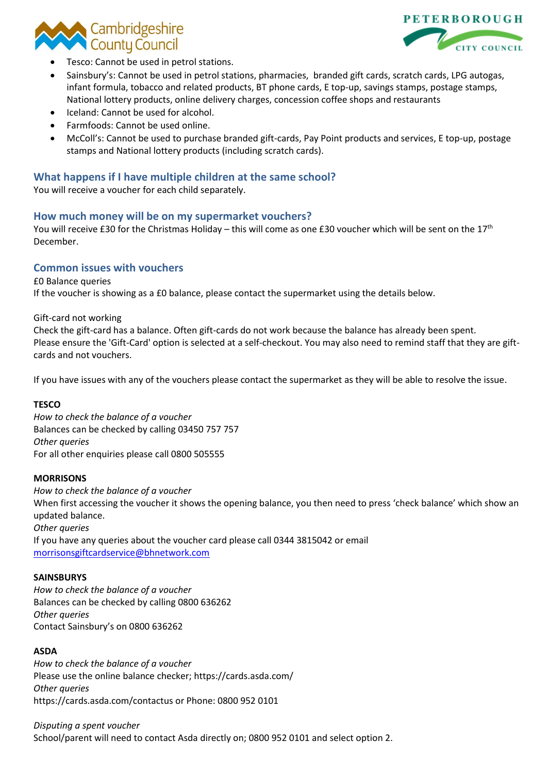



- Tesco: Cannot be used in petrol stations.
- Sainsbury's: Cannot be used in petrol stations, pharmacies, branded gift cards, scratch cards, LPG autogas, infant formula, tobacco and related products, BT phone cards, E top-up, savings stamps, postage stamps, National lottery products, online delivery charges, concession coffee shops and restaurants
- Iceland: Cannot be used for alcohol.
- Farmfoods: Cannot be used online.
- McColl's: Cannot be used to purchase branded gift-cards, Pay Point products and services, E top-up, postage stamps and National lottery products (including scratch cards).

## **What happens if I have multiple children at the same school?**

You will receive a voucher for each child separately.

## **How much money will be on my supermarket vouchers?**

You will receive £30 for the Christmas Holiday – this will come as one £30 voucher which will be sent on the  $17<sup>th</sup>$ December.

## **Common issues with vouchers**

£0 Balance queries If the voucher is showing as a £0 balance, please contact the supermarket using the details below.

Gift-card not working

Check the gift-card has a balance. Often gift-cards do not work because the balance has already been spent. Please ensure the 'Gift-Card' option is selected at a self-checkout. You may also need to remind staff that they are giftcards and not vouchers.

If you have issues with any of the vouchers please contact the supermarket as they will be able to resolve the issue.

## **TESCO**

*How to check the balance of a voucher* Balances can be checked by calling 03450 757 757 *Other queries* For all other enquiries please call 0800 505555

#### **MORRISONS**

*How to check the balance of a voucher* When first accessing the voucher it shows the opening balance, you then need to press 'check balance' which show an updated balance. *Other queries* If you have any queries about the voucher card please call 0344 3815042 or email [morrisonsgiftcardservice@bhnetwork.com](mailto:morrisonsgiftcardservice@bhnetwork.com)

#### **SAINSBURYS**

*How to check the balance of a voucher* Balances can be checked by calling 0800 636262 *Other queries* Contact Sainsbury's on 0800 636262

#### **ASDA**

*How to check the balance of a voucher* Please use the online balance checker; https://cards.asda.com/ *Other queries* https://cards.asda.com/contactus or Phone: 0800 952 0101

*Disputing a spent voucher* School/parent will need to contact Asda directly on; 0800 952 0101 and select option 2.